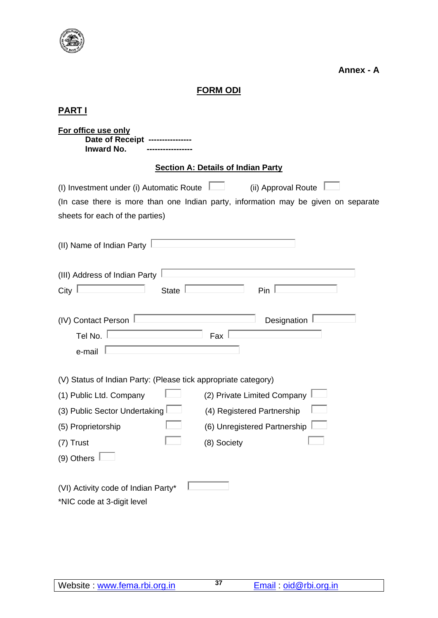

**Annex - A**

# **FORM ODI**

# **PART I**

| For office use only<br>Date of Receipt<br><b>Inward No.</b>                                                                                                                                                                                                                                   |  |  |  |  |  |  |  |
|-----------------------------------------------------------------------------------------------------------------------------------------------------------------------------------------------------------------------------------------------------------------------------------------------|--|--|--|--|--|--|--|
| <b>Section A: Details of Indian Party</b>                                                                                                                                                                                                                                                     |  |  |  |  |  |  |  |
| (ii) Approval Route<br>(I) Investment under (i) Automatic Route<br>(In case there is more than one Indian party, information may be given on separate<br>sheets for each of the parties)                                                                                                      |  |  |  |  |  |  |  |
| (II) Name of Indian Party                                                                                                                                                                                                                                                                     |  |  |  |  |  |  |  |
| (III) Address of Indian Party<br>State<br>Pin<br>City                                                                                                                                                                                                                                         |  |  |  |  |  |  |  |
| Designation<br>(IV) Contact Person<br>Tel No.<br>Fax<br>e-mail                                                                                                                                                                                                                                |  |  |  |  |  |  |  |
| (V) Status of Indian Party: (Please tick appropriate category)<br>(2) Private Limited Company<br>(1) Public Ltd. Company<br>(3) Public Sector Undertaking<br>(4) Registered Partnership<br>(6) Unregistered Partnership<br>(5) Proprietorship<br>(8) Society<br>(7) Trust<br>$(9)$ Others $ $ |  |  |  |  |  |  |  |
| (VI) Activity code of Indian Party*<br>*NIC code at 3-digit level                                                                                                                                                                                                                             |  |  |  |  |  |  |  |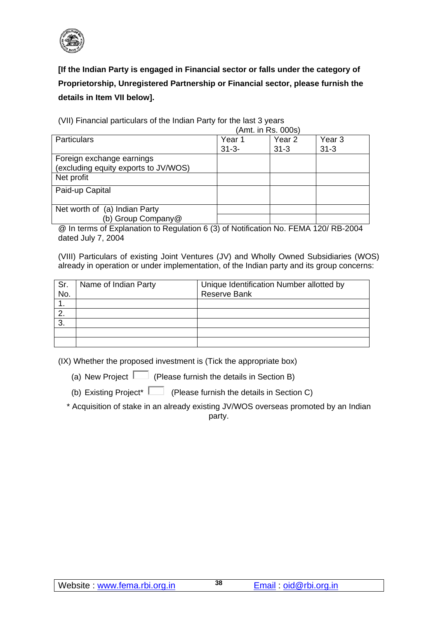

**[If the Indian Party is engaged in Financial sector or falls under the category of Proprietorship, Unregistered Partnership or Financial sector, please furnish the details in Item VII below].**

 (Amt. in Rs. 000s) Particulars Particulars Particulars Particulars Press, 1989. 31-3- Year 2 31-3 Year 3 31-3 Foreign exchange earnings (excluding equity exports to JV/WOS) Net profit Paid-up Capital Net worth of (a) Indian Party (b) Group Company@

(VII) Financial particulars of the Indian Party for the last 3 years

@ In terms of Explanation to Regulation 6 (3) of Notification No. FEMA 120/ RB-2004 dated July 7, 2004

(VIII) Particulars of existing Joint Ventures (JV) and Wholly Owned Subsidiaries (WOS) already in operation or under implementation, of the Indian party and its group concerns:

| Sr.<br>No. | Name of Indian Party | Unique Identification Number allotted by<br><b>Reserve Bank</b> |
|------------|----------------------|-----------------------------------------------------------------|
|            |                      |                                                                 |
|            |                      |                                                                 |
| 3.         |                      |                                                                 |
|            |                      |                                                                 |
|            |                      |                                                                 |

(IX) Whether the proposed investment is (Tick the appropriate box)

(a) New Project  $\Box$  (Please furnish the details in Section B)

(b) Existing Project<sup>\*</sup>  $\Box$  (Please furnish the details in Section C)

\* Acquisition of stake in an already existing JV/WOS overseas promoted by an Indian party.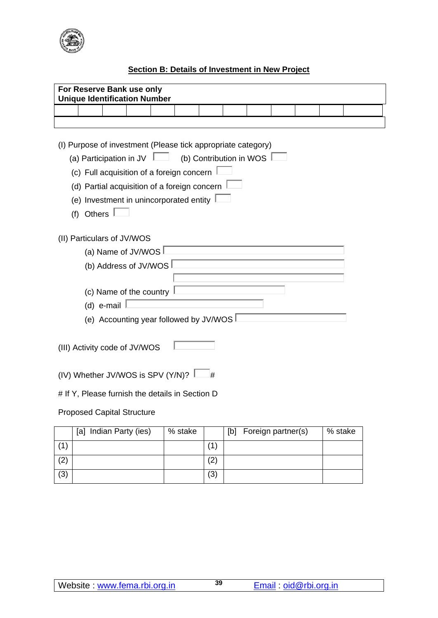

## **Section B: Details of Investment in New Project**

| For Reserve Bank use only<br><b>Unique Identification Number</b>                                                                                                                                                                                                                 |                                                                                 |                            |  |  |  |     |  |  |  |  |
|----------------------------------------------------------------------------------------------------------------------------------------------------------------------------------------------------------------------------------------------------------------------------------|---------------------------------------------------------------------------------|----------------------------|--|--|--|-----|--|--|--|--|
|                                                                                                                                                                                                                                                                                  |                                                                                 |                            |  |  |  |     |  |  |  |  |
|                                                                                                                                                                                                                                                                                  |                                                                                 |                            |  |  |  |     |  |  |  |  |
| (I) Purpose of investment (Please tick appropriate category)<br>(b) Contribution in WOS $\vert$<br>(a) Participation in JV<br>(c) Full acquisition of a foreign concern<br>(d) Partial acquisition of a foreign concern<br>(e) Investment in unincorporated entity<br>(f) Others |                                                                                 |                            |  |  |  |     |  |  |  |  |
|                                                                                                                                                                                                                                                                                  |                                                                                 | (II) Particulars of JV/WOS |  |  |  |     |  |  |  |  |
|                                                                                                                                                                                                                                                                                  |                                                                                 | (a) Name of JV/WOS         |  |  |  |     |  |  |  |  |
|                                                                                                                                                                                                                                                                                  |                                                                                 | (b) Address of JV/WOS      |  |  |  |     |  |  |  |  |
|                                                                                                                                                                                                                                                                                  | (c) Name of the country<br>(d) e-mail<br>(e) Accounting year followed by JV/WOS |                            |  |  |  |     |  |  |  |  |
|                                                                                                                                                                                                                                                                                  | (III) Activity code of JV/WOS                                                   |                            |  |  |  |     |  |  |  |  |
| (IV) Whether JV/WOS is SPV (Y/N)?<br>#                                                                                                                                                                                                                                           |                                                                                 |                            |  |  |  |     |  |  |  |  |
| # If Y, Please furnish the details in Section D                                                                                                                                                                                                                                  |                                                                                 |                            |  |  |  |     |  |  |  |  |
| <b>Proposed Capital Structure</b>                                                                                                                                                                                                                                                |                                                                                 |                            |  |  |  |     |  |  |  |  |
|                                                                                                                                                                                                                                                                                  | [a] Indian Party (ies)<br>% stake<br>Foreign partner(s)<br>% stake<br>[b]       |                            |  |  |  |     |  |  |  |  |
| (1)                                                                                                                                                                                                                                                                              |                                                                                 |                            |  |  |  | (1) |  |  |  |  |

 $(2)$  (2)  $(3)$   $(3)$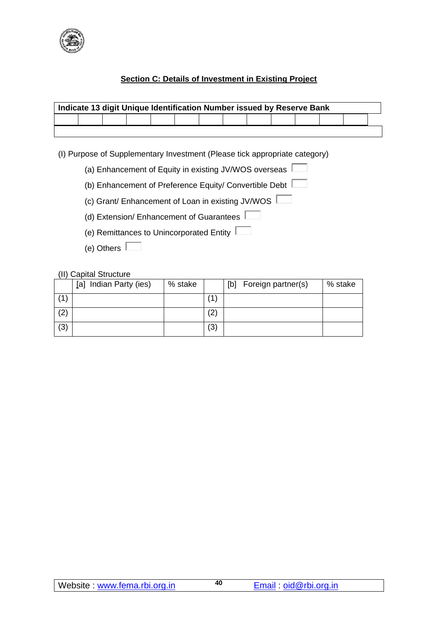

## **Section C: Details of Investment in Existing Project**

| Indicate 13 digit Unique Identification Number issued by Reserve Bank |  |  |  |  |  |  |  |  |  |  |
|-----------------------------------------------------------------------|--|--|--|--|--|--|--|--|--|--|
|                                                                       |  |  |  |  |  |  |  |  |  |  |
|                                                                       |  |  |  |  |  |  |  |  |  |  |

(I) Purpose of Supplementary Investment (Please tick appropriate category)

- (a) Enhancement of Equity in existing JV/WOS overseas
- (b) Enhancement of Preference Equity/ Convertible Debt
- (c) Grant/ Enhancement of Loan in existing JV/WOS
- (d) Extension/ Enhancement of Guarantees
- (e) Remittances to Unincorporated Entity
- (e) Others

#### (II) Capital Structure

|     | Indian Party (ies)<br> a | % stake |                   | Foreign partner(s)<br>[b] | % stake |
|-----|--------------------------|---------|-------------------|---------------------------|---------|
|     |                          |         | 1                 |                           |         |
| (2) |                          |         | $\left( 2\right)$ |                           |         |
| (3) |                          |         | (3)               |                           |         |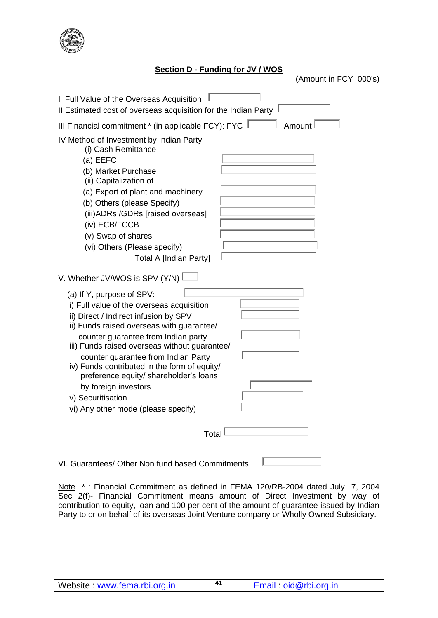

#### **Section D - Funding for JV / WOS**

(Amount in FCY 000's)

| I Full Value of the Overseas Acquisition<br>Il Estimated cost of overseas acquisition for the Indian Party                                                                                                                                                                                                                                                                                                                                                                                                                        |
|-----------------------------------------------------------------------------------------------------------------------------------------------------------------------------------------------------------------------------------------------------------------------------------------------------------------------------------------------------------------------------------------------------------------------------------------------------------------------------------------------------------------------------------|
| III Financial commitment * (in applicable FCY): FYC  <br>Amount                                                                                                                                                                                                                                                                                                                                                                                                                                                                   |
| IV Method of Investment by Indian Party<br>(i) Cash Remittance<br>(a) EEFC<br>(b) Market Purchase<br>(ii) Capitalization of<br>(a) Export of plant and machinery<br>(b) Others (please Specify)<br>(iii) ADRs / GDRs [raised overseas]<br>(iv) ECB/FCCB<br>(v) Swap of shares<br>(vi) Others (Please specify)<br><b>Total A [Indian Party]</b>                                                                                                                                                                                    |
| V. Whether JV/WOS is SPV (Y/N)<br>(a) If Y, purpose of SPV:<br>i) Full value of the overseas acquisition<br>ii) Direct / Indirect infusion by SPV<br>ii) Funds raised overseas with guarantee/<br>counter guarantee from Indian party<br>iii) Funds raised overseas without guarantee/<br>counter guarantee from Indian Party<br>iv) Funds contributed in the form of equity/<br>preference equity/ shareholder's loans<br>by foreign investors<br>v) Securitisation<br>vi) Any other mode (please specify)<br>Total <sup>1</sup> |

VI. Guarantees/ Other Non fund based Commitments  $\mathbb{L}$ 

Note \*: Financial Commitment as defined in FEMA 120/RB-2004 dated July 7, 2004 Sec 2(f)- Financial Commitment means amount of Direct Investment by way of contribution to equity, loan and 100 per cent of the amount of guarantee issued by Indian Party to or on behalf of its overseas Joint Venture company or Wholly Owned Subsidiary.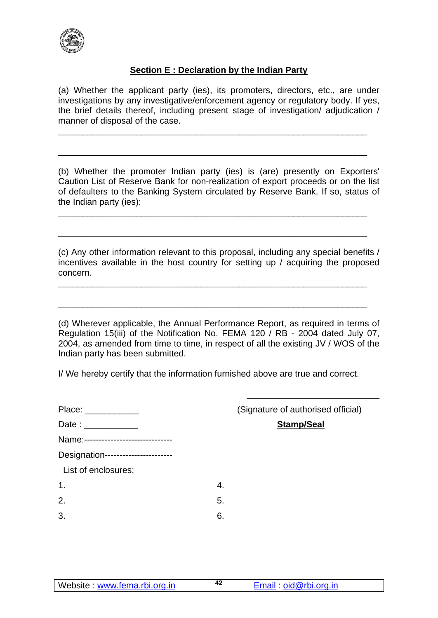

## **Section E : Declaration by the Indian Party**

(a) Whether the applicant party (ies), its promoters, directors, etc., are under investigations by any investigative/enforcement agency or regulatory body. If yes, the brief details thereof, including present stage of investigation/ adjudication / manner of disposal of the case.

\_\_\_\_\_\_\_\_\_\_\_\_\_\_\_\_\_\_\_\_\_\_\_\_\_\_\_\_\_\_\_\_\_\_\_\_\_\_\_\_\_\_\_\_\_\_\_\_\_\_\_\_\_\_\_\_\_\_\_\_\_\_\_

\_\_\_\_\_\_\_\_\_\_\_\_\_\_\_\_\_\_\_\_\_\_\_\_\_\_\_\_\_\_\_\_\_\_\_\_\_\_\_\_\_\_\_\_\_\_\_\_\_\_\_\_\_\_\_\_\_\_\_\_\_\_\_

\_\_\_\_\_\_\_\_\_\_\_\_\_\_\_\_\_\_\_\_\_\_\_\_\_\_\_\_\_\_\_\_\_\_\_\_\_\_\_\_\_\_\_\_\_\_\_\_\_\_\_\_\_\_\_\_\_\_\_\_\_\_\_

\_\_\_\_\_\_\_\_\_\_\_\_\_\_\_\_\_\_\_\_\_\_\_\_\_\_\_\_\_\_\_\_\_\_\_\_\_\_\_\_\_\_\_\_\_\_\_\_\_\_\_\_\_\_\_\_\_\_\_\_\_\_\_

\_\_\_\_\_\_\_\_\_\_\_\_\_\_\_\_\_\_\_\_\_\_\_\_\_\_\_\_\_\_\_\_\_\_\_\_\_\_\_\_\_\_\_\_\_\_\_\_\_\_\_\_\_\_\_\_\_\_\_\_\_\_\_

\_\_\_\_\_\_\_\_\_\_\_\_\_\_\_\_\_\_\_\_\_\_\_\_\_\_\_\_\_\_\_\_\_\_\_\_\_\_\_\_\_\_\_\_\_\_\_\_\_\_\_\_\_\_\_\_\_\_\_\_\_\_\_

(b) Whether the promoter Indian party (ies) is (are) presently on Exporters' Caution List of Reserve Bank for non-realization of export proceeds or on the list of defaulters to the Banking System circulated by Reserve Bank. If so, status of the Indian party (ies):

(c) Any other information relevant to this proposal, including any special benefits / incentives available in the host country for setting up / acquiring the proposed concern.

(d) Wherever applicable, the Annual Performance Report, as required in terms of Regulation 15(iii) of the Notification No. FEMA 120 / RB - 2004 dated July 07, 2004, as amended from time to time, in respect of all the existing JV / WOS of the Indian party has been submitted.

I/ We hereby certify that the information furnished above are true and correct.

|                                     | (Signature of authorised official) |
|-------------------------------------|------------------------------------|
| Date: ____________                  | <b>Stamp/Seal</b>                  |
| Name:------------------------------ |                                    |
| Designation-----------------------  |                                    |
| List of enclosures:                 |                                    |
| 1.                                  | 4.                                 |
| 2.                                  | 5.                                 |
| 3.                                  | 6.                                 |

 $\frac{1}{\sqrt{2}}$  ,  $\frac{1}{\sqrt{2}}$  ,  $\frac{1}{\sqrt{2}}$  ,  $\frac{1}{\sqrt{2}}$  ,  $\frac{1}{\sqrt{2}}$  ,  $\frac{1}{\sqrt{2}}$  ,  $\frac{1}{\sqrt{2}}$  ,  $\frac{1}{\sqrt{2}}$  ,  $\frac{1}{\sqrt{2}}$  ,  $\frac{1}{\sqrt{2}}$  ,  $\frac{1}{\sqrt{2}}$  ,  $\frac{1}{\sqrt{2}}$  ,  $\frac{1}{\sqrt{2}}$  ,  $\frac{1}{\sqrt{2}}$  ,  $\frac{1}{\sqrt{2}}$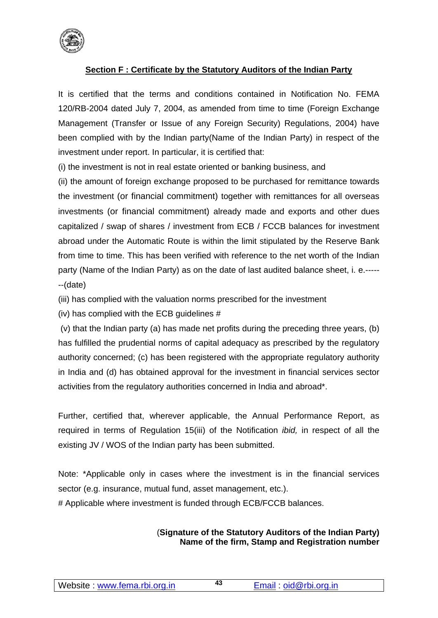

## **Section F : Certificate by the Statutory Auditors of the Indian Party**

It is certified that the terms and conditions contained in Notification No. FEMA 120/RB-2004 dated July 7, 2004, as amended from time to time (Foreign Exchange Management (Transfer or Issue of any Foreign Security) Regulations, 2004) have been complied with by the Indian party(Name of the Indian Party) in respect of the investment under report. In particular, it is certified that:

(i) the investment is not in real estate oriented or banking business, and

(ii) the amount of foreign exchange proposed to be purchased for remittance towards the investment (or financial commitment) together with remittances for all overseas investments (or financial commitment) already made and exports and other dues capitalized / swap of shares / investment from ECB / FCCB balances for investment abroad under the Automatic Route is within the limit stipulated by the Reserve Bank from time to time. This has been verified with reference to the net worth of the Indian party (Name of the Indian Party) as on the date of last audited balance sheet, i. e.----- --(date)

(iii) has complied with the valuation norms prescribed for the investment

(iv) has complied with the ECB guidelines #

(v) that the Indian party (a) has made net profits during the preceding three years, (b) has fulfilled the prudential norms of capital adequacy as prescribed by the regulatory authority concerned; (c) has been registered with the appropriate regulatory authority in India and (d) has obtained approval for the investment in financial services sector activities from the regulatory authorities concerned in India and abroad\*.

Further, certified that, wherever applicable, the Annual Performance Report, as required in terms of Regulation 15(iii) of the Notification *ibid,* in respect of all the existing JV / WOS of the Indian party has been submitted.

Note: \*Applicable only in cases where the investment is in the financial services sector (e.g. insurance, mutual fund, asset management, etc.).

# Applicable where investment is funded through ECB/FCCB balances.

#### (**Signature of the Statutory Auditors of the Indian Party) Name of the firm, Stamp and Registration number**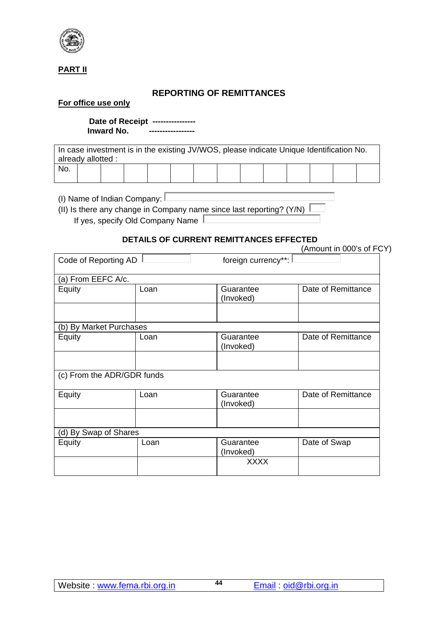

#### **PART II**

## **REPORTING OF REMITTANCES**

#### **For office use only**

 **Date of Receipt ---------------- Inward No.** 

In case investment is in the existing JV/WOS, please indicate Unique Identification No. already allotted : No.

(I) Name of Indian Company:  $\square$ 

(II) Is there any change in Company name since last reporting? (Y/N)  $\overline{I}$ If yes, specify Old Company Name

#### **DETAILS OF CURRENT REMITTANCES EFFECTED**

|                            |      | <b>OUNNERT INEMITTARGED ETTEUT</b> | (Amount in 000's of FCY) |
|----------------------------|------|------------------------------------|--------------------------|
| Code of Reporting AD       |      | foreign currency**:                |                          |
| (a) From EEFC A/c.         |      |                                    |                          |
| Equity                     | Loan | Guarantee<br>(Invoked)             | Date of Remittance       |
|                            |      |                                    |                          |
| (b) By Market Purchases    |      |                                    |                          |
| Equity                     | Loan | Guarantee<br>(Invoked)             | Date of Remittance       |
|                            |      |                                    |                          |
| (c) From the ADR/GDR funds |      |                                    |                          |
| Equity                     | Loan | Guarantee<br>(Invoked)             | Date of Remittance       |
|                            |      |                                    |                          |
| (d) By Swap of Shares      |      |                                    |                          |
| Equity                     | Loan | Guarantee<br>(Invoked)             | Date of Swap             |
|                            |      | <b>XXXX</b>                        |                          |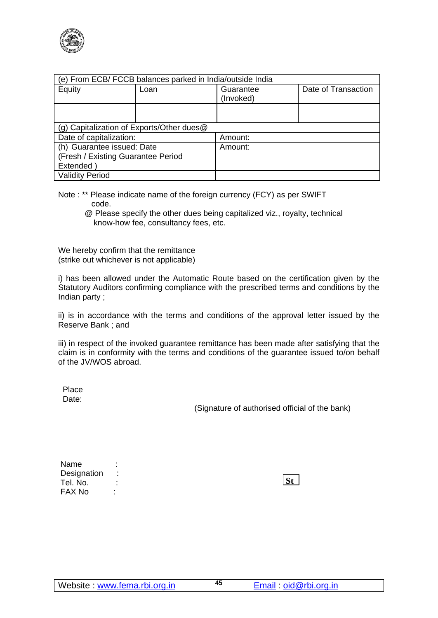

| (e) From ECB/ FCCB balances parked in India/outside India |                                           |                        |                     |  |  |  |
|-----------------------------------------------------------|-------------------------------------------|------------------------|---------------------|--|--|--|
| Equity                                                    | Loan                                      | Guarantee<br>(Invoked) | Date of Transaction |  |  |  |
|                                                           |                                           |                        |                     |  |  |  |
|                                                           |                                           |                        |                     |  |  |  |
|                                                           | (g) Capitalization of Exports/Other dues@ |                        |                     |  |  |  |
| Date of capitalization:                                   |                                           | Amount:                |                     |  |  |  |
| (h) Guarantee issued: Date                                |                                           | Amount:                |                     |  |  |  |
| (Fresh / Existing Guarantee Period                        |                                           |                        |                     |  |  |  |
| Extended)                                                 |                                           |                        |                     |  |  |  |
| <b>Validity Period</b>                                    |                                           |                        |                     |  |  |  |

- Note : \*\* Please indicate name of the foreign currency (FCY) as per SWIFT code.
	- @ Please specify the other dues being capitalized viz., royalty, technical know-how fee, consultancy fees, etc.

We hereby confirm that the remittance (strike out whichever is not applicable)

i) has been allowed under the Automatic Route based on the certification given by the Statutory Auditors confirming compliance with the prescribed terms and conditions by the Indian party ;

ii) is in accordance with the terms and conditions of the approval letter issued by the Reserve Bank ; and

iii) in respect of the invoked guarantee remittance has been made after satisfying that the claim is in conformity with the terms and conditions of the guarantee issued to/on behalf of the JV/WOS abroad.

Place Date:

(Signature of authorised official of the bank)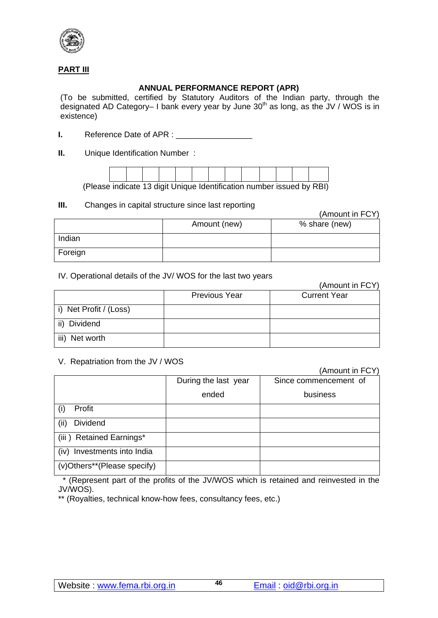

#### **PART III**

#### **ANNUAL PERFORMANCE REPORT (APR)**

(To be submitted, certified by Statutory Auditors of the Indian party, through the designated AD Category– I bank every year by June  $30<sup>th</sup>$  as long, as the JV / WOS is in existence)

**I.** Reference Date of APR :

**II.** Unique Identification Number :



(Please indicate 13 digit Unique Identification number issued by RBI)

### **III.** Changes in capital structure since last reporting

(Amount in FCY)

|         | Amount (new) | % share (new) |
|---------|--------------|---------------|
| Indian  |              |               |
| Foreign |              |               |

#### IV. Operational details of the JV/ WOS for the last two years

|                        |                      | (Amount in FCY)     |
|------------------------|----------------------|---------------------|
|                        | <b>Previous Year</b> | <b>Current Year</b> |
| i) Net Profit / (Loss) |                      |                     |
| Dividend               |                      |                     |
| iii)<br>Net worth      |                      |                     |

#### V. Repatriation from the JV / WOS

(Amount in FCY)

|                                | During the last year | Since commencement of |
|--------------------------------|----------------------|-----------------------|
|                                | ended                | business              |
| Profit                         |                      |                       |
| <b>Dividend</b><br>(ii)        |                      |                       |
| (iii) Retained Earnings*       |                      |                       |
| Investments into India<br>(iv) |                      |                       |
| (v)Others**(Please specify)    |                      |                       |

 \* (Represent part of the profits of the JV/WOS which is retained and reinvested in the JV/WOS).

\*\* (Royalties, technical know-how fees, consultancy fees, etc.)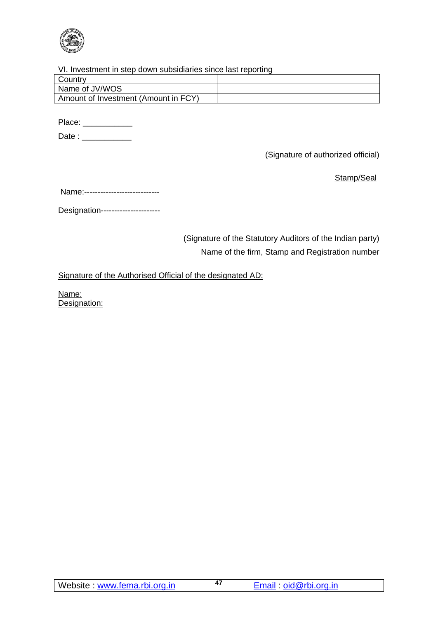

#### VI. Investment in step down subsidiaries since last reporting

| Country                              |  |
|--------------------------------------|--|
| Name of JV/WOS                       |  |
| Amount of Investment (Amount in FCY) |  |
|                                      |  |

Place: \_\_\_\_\_\_\_\_\_\_\_\_\_\_

Date : \_\_\_\_\_\_\_\_\_\_\_

(Signature of authorized official)

Stamp/Seal

Name:----------------------------

Designation----------------------

(Signature of the Statutory Auditors of the Indian party) Name of the firm, Stamp and Registration number

Signature of the Authorised Official of the designated AD:

Name: Designation: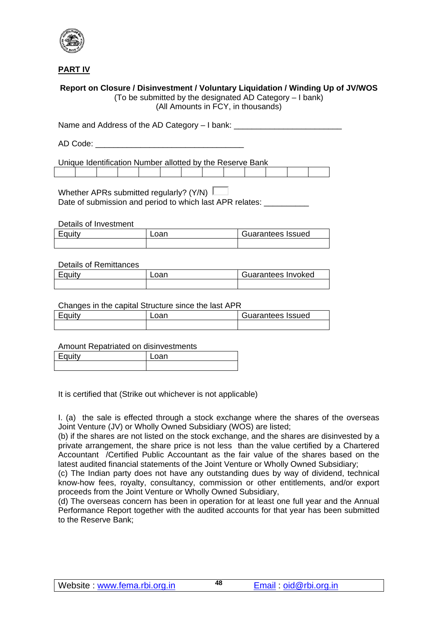

**PART IV**

#### **Report on Closure / Disinvestment / Voluntary Liquidation / Winding Up of JV/WOS**

(To be submitted by the designated AD Category – I bank) (All Amounts in FCY, in thousands)

Name and Address of the AD Category - I bank: \_\_\_\_\_\_\_\_\_\_\_\_\_\_\_\_\_\_\_\_\_\_\_\_\_\_\_\_\_\_\_\_\_\_

AD Code:  $\Box$ 

Unique Identification Number allotted by the Reserve Bank

Whether APRs submitted regularly? (Y/N)  $\Box$ Date of submission and period to which last APR relates:

Details of Investment

| Equity | Guarantees Issued |
|--------|-------------------|
|        |                   |

#### Details of Remittances

| Equity | _oan | Guarantees Invoked |
|--------|------|--------------------|
|        |      |                    |

#### Changes in the capital Structure since the last APR

| Fautv | Loan | Guarantees Issued |
|-------|------|-------------------|
|       |      |                   |

Amount Repatriated on disinvestments

| $-2.11$ | or |
|---------|----|
|         |    |

It is certified that (Strike out whichever is not applicable)

I. (a) the sale is effected through a stock exchange where the shares of the overseas Joint Venture (JV) or Wholly Owned Subsidiary (WOS) are listed;

(b) if the shares are not listed on the stock exchange, and the shares are disinvested by a private arrangement, the share price is not less than the value certified by a Chartered Accountant /Certified Public Accountant as the fair value of the shares based on the latest audited financial statements of the Joint Venture or Wholly Owned Subsidiary;

(c) The Indian party does not have any outstanding dues by way of dividend, technical know-how fees, royalty, consultancy, commission or other entitlements, and/or export proceeds from the Joint Venture or Wholly Owned Subsidiary,

(d) The overseas concern has been in operation for at least one full year and the Annual Performance Report together with the audited accounts for that year has been submitted to the Reserve Bank;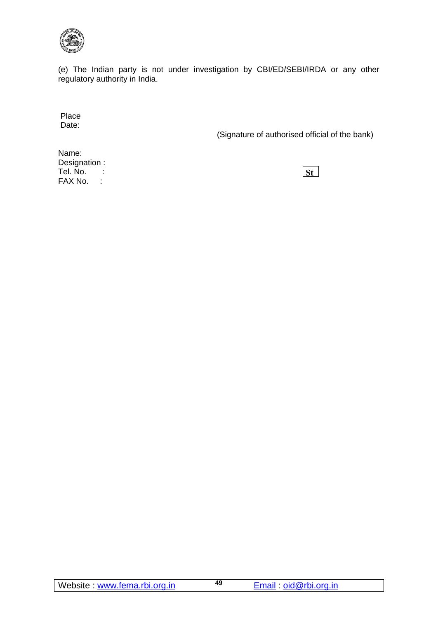

(e) The Indian party is not under investigation by CBI/ED/SEBI/IRDA or any other regulatory authority in India.

Place Date:

(Signature of authorised official of the bank)

Name: Designation : Tel. No. : FAX No. :

**St**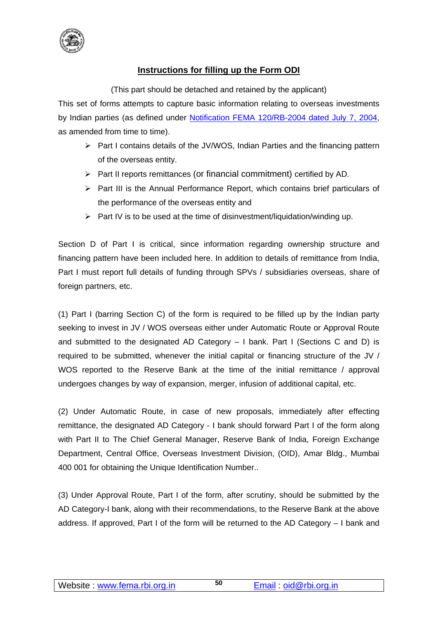

## **Instructions for filling up the Form ODI**

(This part should be detached and retained by the applicant)

This set of forms attempts to capture basic information relating to overseas investments by Indian parties (as defined under [Notification FEMA 120/RB-2004 dated July 7, 2004,](https://www.rbi.org.in/Scripts/BS_FemaNotifications.aspx?Id=2126) as amended from time to time).

- $\triangleright$  Part I contains details of the JV/WOS, Indian Parties and the financing pattern of the overseas entity.
- $\triangleright$  Part II reports remittances (or financial commitment) certified by AD.
- $\triangleright$  Part III is the Annual Performance Report, which contains brief particulars of the performance of the overseas entity and
- $\triangleright$  Part IV is to be used at the time of disinvestment/liquidation/winding up.

Section D of Part I is critical, since information regarding ownership structure and financing pattern have been included here. In addition to details of remittance from India, Part I must report full details of funding through SPVs / subsidiaries overseas, share of foreign partners, etc.

(1) Part I (barring Section C) of the form is required to be filled up by the Indian party seeking to invest in JV / WOS overseas either under Automatic Route or Approval Route and submitted to the designated AD Category – I bank. Part I (Sections C and D) is required to be submitted, whenever the initial capital or financing structure of the JV / WOS reported to the Reserve Bank at the time of the initial remittance / approval undergoes changes by way of expansion, merger, infusion of additional capital, etc.

(2) Under Automatic Route, in case of new proposals, immediately after effecting remittance, the designated AD Category - I bank should forward Part I of the form along with Part II to The Chief General Manager, Reserve Bank of India, Foreign Exchange Department, Central Office, Overseas Investment Division, (OID), Amar Bldg., Mumbai 400 001 for obtaining the Unique Identification Number..

(3) Under Approval Route, Part I of the form, after scrutiny, should be submitted by the AD Category-I bank, along with their recommendations, to the Reserve Bank at the above address. If approved, Part I of the form will be returned to the AD Category – I bank and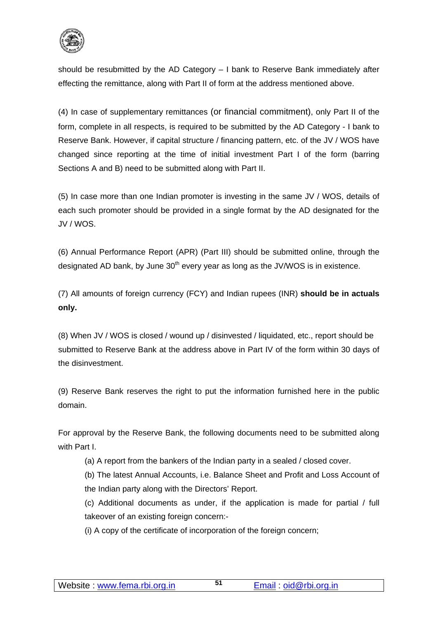

should be resubmitted by the AD Category – I bank to Reserve Bank immediately after effecting the remittance, along with Part II of form at the address mentioned above.

(4) In case of supplementary remittances (or financial commitment), only Part II of the form, complete in all respects, is required to be submitted by the AD Category - I bank to Reserve Bank. However, if capital structure / financing pattern, etc. of the JV / WOS have changed since reporting at the time of initial investment Part I of the form (barring Sections A and B) need to be submitted along with Part II.

(5) In case more than one Indian promoter is investing in the same JV / WOS, details of each such promoter should be provided in a single format by the AD designated for the JV / WOS.

(6) Annual Performance Report (APR) (Part III) should be submitted online, through the designated AD bank, by June  $30<sup>th</sup>$  every year as long as the JV/WOS is in existence.

(7) All amounts of foreign currency (FCY) and Indian rupees (INR) **should be in actuals only.**

(8) When JV / WOS is closed / wound up / disinvested / liquidated, etc., report should be submitted to Reserve Bank at the address above in Part IV of the form within 30 days of the disinvestment.

(9) Reserve Bank reserves the right to put the information furnished here in the public domain.

For approval by the Reserve Bank, the following documents need to be submitted along with Part I.

(a) A report from the bankers of the Indian party in a sealed / closed cover.

(b) The latest Annual Accounts, i.e. Balance Sheet and Profit and Loss Account of the Indian party along with the Directors' Report.

(c) Additional documents as under, if the application is made for partial / full takeover of an existing foreign concern:-

(i) A copy of the certificate of incorporation of the foreign concern;